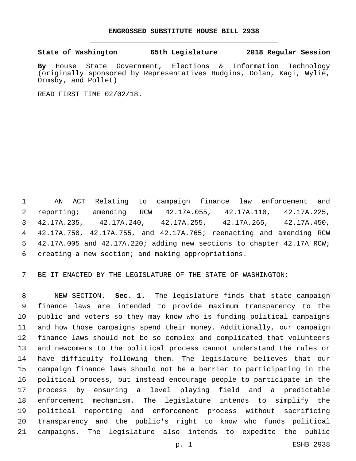## **ENGROSSED SUBSTITUTE HOUSE BILL 2938**

## **State of Washington 65th Legislature 2018 Regular Session**

**By** House State Government, Elections & Information Technology (originally sponsored by Representatives Hudgins, Dolan, Kagi, Wylie, Ormsby, and Pollet)

READ FIRST TIME 02/02/18.

 AN ACT Relating to campaign finance law enforcement and reporting; amending RCW 42.17A.055, 42.17A.110, 42.17A.225, 42.17A.235, 42.17A.240, 42.17A.255, 42.17A.265, 42.17A.450, 42.17A.750, 42.17A.755, and 42.17A.765; reenacting and amending RCW 42.17A.005 and 42.17A.220; adding new sections to chapter 42.17A RCW; 6 creating a new section; and making appropriations.

BE IT ENACTED BY THE LEGISLATURE OF THE STATE OF WASHINGTON:

 NEW SECTION. **Sec. 1.** The legislature finds that state campaign finance laws are intended to provide maximum transparency to the public and voters so they may know who is funding political campaigns and how those campaigns spend their money. Additionally, our campaign finance laws should not be so complex and complicated that volunteers and newcomers to the political process cannot understand the rules or have difficulty following them. The legislature believes that our campaign finance laws should not be a barrier to participating in the political process, but instead encourage people to participate in the process by ensuring a level playing field and a predictable enforcement mechanism. The legislature intends to simplify the political reporting and enforcement process without sacrificing transparency and the public's right to know who funds political campaigns. The legislature also intends to expedite the public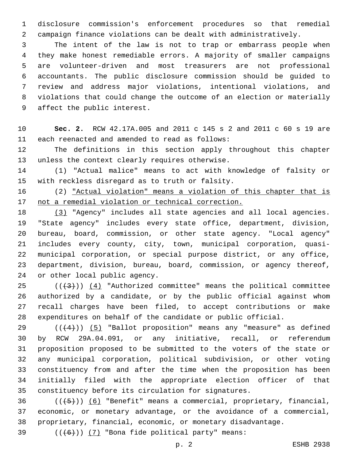disclosure commission's enforcement procedures so that remedial campaign finance violations can be dealt with administratively.

 The intent of the law is not to trap or embarrass people when they make honest remediable errors. A majority of smaller campaigns are volunteer-driven and most treasurers are not professional accountants. The public disclosure commission should be guided to review and address major violations, intentional violations, and violations that could change the outcome of an election or materially 9 affect the public interest.

 **Sec. 2.** RCW 42.17A.005 and 2011 c 145 s 2 and 2011 c 60 s 19 are 11 each reenacted and amended to read as follows:

 The definitions in this section apply throughout this chapter 13 unless the context clearly requires otherwise.

 (1) "Actual malice" means to act with knowledge of falsity or 15 with reckless disregard as to truth or falsity.

 (2) "Actual violation" means a violation of this chapter that is not a remedial violation or technical correction.

 (3) "Agency" includes all state agencies and all local agencies. "State agency" includes every state office, department, division, bureau, board, commission, or other state agency. "Local agency" includes every county, city, town, municipal corporation, quasi- municipal corporation, or special purpose district, or any office, department, division, bureau, board, commission, or agency thereof, 24 or other local public agency.

 ( $(\frac{43}{})$ )  $(4)$  "Authorized committee" means the political committee authorized by a candidate, or by the public official against whom recall charges have been filed, to accept contributions or make expenditures on behalf of the candidate or public official.

 $((+4))$   $(5)$  "Ballot proposition" means any "measure" as defined by RCW 29A.04.091, or any initiative, recall, or referendum proposition proposed to be submitted to the voters of the state or any municipal corporation, political subdivision, or other voting constituency from and after the time when the proposition has been initially filed with the appropriate election officer of that constituency before its circulation for signatures.

 ( $(\overline{+5})$ ) (6) "Benefit" means a commercial, proprietary, financial, economic, or monetary advantage, or the avoidance of a commercial, proprietary, financial, economic, or monetary disadvantage.

39  $((+6))$  (7) "Bona fide political party" means: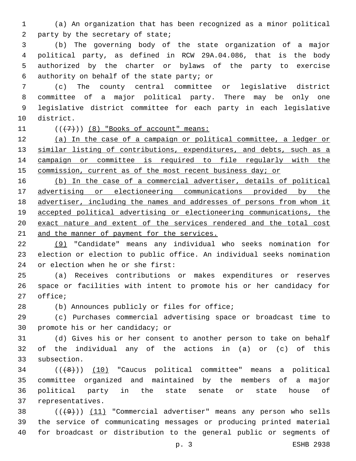(a) An organization that has been recognized as a minor political 2 party by the secretary of state;

 (b) The governing body of the state organization of a major political party, as defined in RCW 29A.04.086, that is the body authorized by the charter or bylaws of the party to exercise 6 authority on behalf of the state party; or

 (c) The county central committee or legislative district committee of a major political party. There may be only one legislative district committee for each party in each legislative 10 district.

11  $((+7))$   $(8)$  "Books of account" means:

 (a) In the case of a campaign or political committee, a ledger or 13 similar listing of contributions, expenditures, and debts, such as a campaign or committee is required to file regularly with the 15 commission, current as of the most recent business day; or

 (b) In the case of a commercial advertiser, details of political advertising or electioneering communications provided by the advertiser, including the names and addresses of persons from whom it accepted political advertising or electioneering communications, the exact nature and extent of the services rendered and the total cost 21 and the manner of payment for the services.

 (9) "Candidate" means any individual who seeks nomination for election or election to public office. An individual seeks nomination 24 or election when he or she first:

 (a) Receives contributions or makes expenditures or reserves space or facilities with intent to promote his or her candidacy for 27 office;

28 (b) Announces publicly or files for office;

 (c) Purchases commercial advertising space or broadcast time to 30 promote his or her candidacy; or

 (d) Gives his or her consent to another person to take on behalf of the individual any of the actions in (a) or (c) of this 33 subsection.

34 (((48)) (10) "Caucus political committee" means a political committee organized and maintained by the members of a major political party in the state senate or state house of 37 representatives.

38  $((+9))$   $(11)$  "Commercial advertiser" means any person who sells the service of communicating messages or producing printed material for broadcast or distribution to the general public or segments of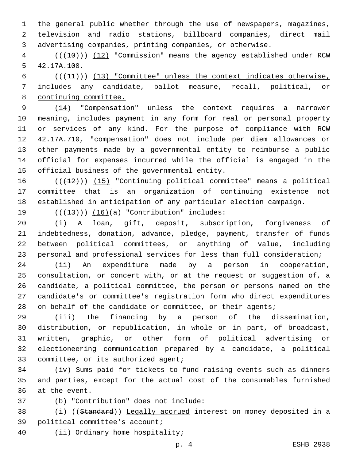the general public whether through the use of newspapers, magazines, television and radio stations, billboard companies, direct mail advertising companies, printing companies, or otherwise.

4 (( $(10)$ ) (12) "Commission" means the agency established under RCW 5 42.17A.100.

6  $((+11))$  (13) "Committee" unless the context indicates otherwise, includes any candidate, ballot measure, recall, political, or continuing committee.

 (14) "Compensation" unless the context requires a narrower meaning, includes payment in any form for real or personal property or services of any kind. For the purpose of compliance with RCW 42.17A.710, "compensation" does not include per diem allowances or other payments made by a governmental entity to reimburse a public official for expenses incurred while the official is engaged in the 15 official business of the governmental entity.

16 (((12))) (15) "Continuing political committee" means a political committee that is an organization of continuing existence not established in anticipation of any particular election campaign.

19  $((+13))$   $(16)(a)$  "Contribution" includes:

 (i) A loan, gift, deposit, subscription, forgiveness of indebtedness, donation, advance, pledge, payment, transfer of funds between political committees, or anything of value, including personal and professional services for less than full consideration;

 (ii) An expenditure made by a person in cooperation, consultation, or concert with, or at the request or suggestion of, a candidate, a political committee, the person or persons named on the candidate's or committee's registration form who direct expenditures 28 on behalf of the candidate or committee, or their agents;

 (iii) The financing by a person of the dissemination, distribution, or republication, in whole or in part, of broadcast, written, graphic, or other form of political advertising or electioneering communication prepared by a candidate, a political 33 committee, or its authorized agent;

 (iv) Sums paid for tickets to fund-raising events such as dinners and parties, except for the actual cost of the consumables furnished 36 at the event.

(b) "Contribution" does not include:37

 (i) ((Standard)) Legally accrued interest on money deposited in a 39 political committee's account;

40 (ii) Ordinary home hospitality;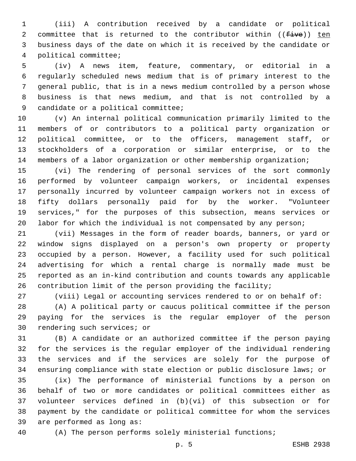(iii) A contribution received by a candidate or political 2 committee that is returned to the contributor within  $((five))$  ten business days of the date on which it is received by the candidate or political committee;4

 (iv) A news item, feature, commentary, or editorial in a regularly scheduled news medium that is of primary interest to the general public, that is in a news medium controlled by a person whose business is that news medium, and that is not controlled by a 9 candidate or a political committee;

 (v) An internal political communication primarily limited to the members of or contributors to a political party organization or political committee, or to the officers, management staff, or stockholders of a corporation or similar enterprise, or to the members of a labor organization or other membership organization;

 (vi) The rendering of personal services of the sort commonly performed by volunteer campaign workers, or incidental expenses personally incurred by volunteer campaign workers not in excess of fifty dollars personally paid for by the worker. "Volunteer services," for the purposes of this subsection, means services or labor for which the individual is not compensated by any person;

 (vii) Messages in the form of reader boards, banners, or yard or window signs displayed on a person's own property or property occupied by a person. However, a facility used for such political advertising for which a rental charge is normally made must be reported as an in-kind contribution and counts towards any applicable contribution limit of the person providing the facility;

(viii) Legal or accounting services rendered to or on behalf of:

 (A) A political party or caucus political committee if the person paying for the services is the regular employer of the person 30 rendering such services; or

 (B) A candidate or an authorized committee if the person paying for the services is the regular employer of the individual rendering the services and if the services are solely for the purpose of ensuring compliance with state election or public disclosure laws; or

 (ix) The performance of ministerial functions by a person on behalf of two or more candidates or political committees either as volunteer services defined in (b)(vi) of this subsection or for payment by the candidate or political committee for whom the services 39 are performed as long as:

(A) The person performs solely ministerial functions;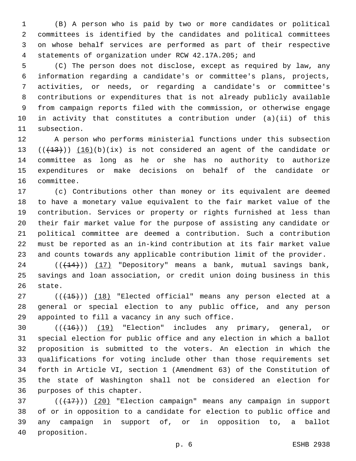(B) A person who is paid by two or more candidates or political committees is identified by the candidates and political committees on whose behalf services are performed as part of their respective statements of organization under RCW 42.17A.205; and

 (C) The person does not disclose, except as required by law, any information regarding a candidate's or committee's plans, projects, activities, or needs, or regarding a candidate's or committee's contributions or expenditures that is not already publicly available from campaign reports filed with the commission, or otherwise engage in activity that constitutes a contribution under (a)(ii) of this 11 subsection.

 A person who performs ministerial functions under this subsection  $((+13))$   $(16)(b)(ix)$  is not considered an agent of the candidate or committee as long as he or she has no authority to authorize expenditures or make decisions on behalf of the candidate or 16 committee.

 (c) Contributions other than money or its equivalent are deemed to have a monetary value equivalent to the fair market value of the contribution. Services or property or rights furnished at less than their fair market value for the purpose of assisting any candidate or political committee are deemed a contribution. Such a contribution must be reported as an in-kind contribution at its fair market value and counts towards any applicable contribution limit of the provider.

 $((+14))$   $(17)$  "Depository" means a bank, mutual savings bank, savings and loan association, or credit union doing business in this 26 state.

27 (((+15))) (18) "Elected official" means any person elected at a general or special election to any public office, and any person 29 appointed to fill a vacancy in any such office.

30 (( $(16)$ )) (19) "Election" includes any primary, general, or special election for public office and any election in which a ballot proposition is submitted to the voters. An election in which the qualifications for voting include other than those requirements set forth in Article VI, section 1 (Amendment 63) of the Constitution of the state of Washington shall not be considered an election for 36 purposes of this chapter.

 ( $(\overline{+17})$ ) (20) "Election campaign" means any campaign in support of or in opposition to a candidate for election to public office and any campaign in support of, or in opposition to, a ballot 40 proposition.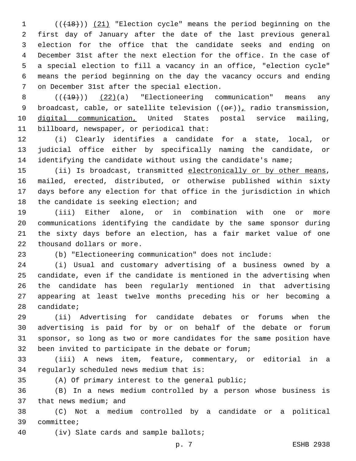(((18))) (21) "Election cycle" means the period beginning on the first day of January after the date of the last previous general election for the office that the candidate seeks and ending on December 31st after the next election for the office. In the case of a special election to fill a vacancy in an office, "election cycle" means the period beginning on the day the vacancy occurs and ending 7 on December 31st after the special election.

8  $((+19))$   $(22)(a)$  "Electioneering communication" means any 9 broadcast, cable, or satellite television  $((\theta \hat{r}))_L$  radio transmission, digital communication, United States postal service mailing, 11 billboard, newspaper, or periodical that:

 (i) Clearly identifies a candidate for a state, local, or judicial office either by specifically naming the candidate, or 14 identifying the candidate without using the candidate's name;

15 (ii) Is broadcast, transmitted electronically or by other means, mailed, erected, distributed, or otherwise published within sixty days before any election for that office in the jurisdiction in which 18 the candidate is seeking election; and

 (iii) Either alone, or in combination with one or more communications identifying the candidate by the same sponsor during the sixty days before an election, has a fair market value of one 22 thousand dollars or more.

(b) "Electioneering communication" does not include:

 (i) Usual and customary advertising of a business owned by a candidate, even if the candidate is mentioned in the advertising when the candidate has been regularly mentioned in that advertising appearing at least twelve months preceding his or her becoming a candidate;

 (ii) Advertising for candidate debates or forums when the advertising is paid for by or on behalf of the debate or forum sponsor, so long as two or more candidates for the same position have been invited to participate in the debate or forum;

 (iii) A news item, feature, commentary, or editorial in a 34 regularly scheduled news medium that is:

(A) Of primary interest to the general public;

 (B) In a news medium controlled by a person whose business is 37 that news medium; and

 (C) Not a medium controlled by a candidate or a political 39 committee;

40 (iv) Slate cards and sample ballots;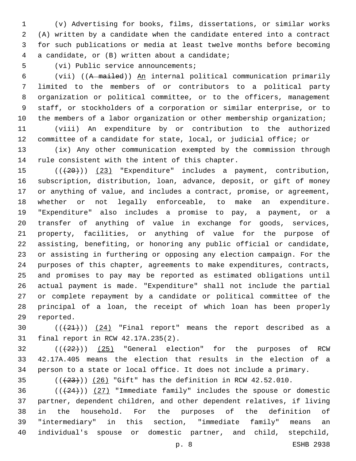(v) Advertising for books, films, dissertations, or similar works (A) written by a candidate when the candidate entered into a contract for such publications or media at least twelve months before becoming a candidate, or (B) written about a candidate;4

5 (vi) Public service announcements;

 (vii) ((A mailed)) An internal political communication primarily limited to the members of or contributors to a political party organization or political committee, or to the officers, management staff, or stockholders of a corporation or similar enterprise, or to 10 the members of a labor organization or other membership organization;

 (viii) An expenditure by or contribution to the authorized committee of a candidate for state, local, or judicial office; or

 (ix) Any other communication exempted by the commission through 14 rule consistent with the intent of this chapter.

15 (( $(20)$ ) (23) "Expenditure" includes a payment, contribution, subscription, distribution, loan, advance, deposit, or gift of money or anything of value, and includes a contract, promise, or agreement, whether or not legally enforceable, to make an expenditure. "Expenditure" also includes a promise to pay, a payment, or a transfer of anything of value in exchange for goods, services, property, facilities, or anything of value for the purpose of assisting, benefiting, or honoring any public official or candidate, or assisting in furthering or opposing any election campaign. For the purposes of this chapter, agreements to make expenditures, contracts, and promises to pay may be reported as estimated obligations until actual payment is made. "Expenditure" shall not include the partial or complete repayment by a candidate or political committee of the principal of a loan, the receipt of which loan has been properly 29 reported.

30  $((+21))$   $(24)$  "Final report" means the report described as a 31 final report in RCW 42.17A.235(2).

  $((+22))$   $(25)$  "General election" for the purposes of RCW 42.17A.405 means the election that results in the election of a person to a state or local office. It does not include a primary.

 $(1+23)$ ) (26) "Gift" has the definition in RCW 42.52.010.

 $((+24))$   $(27)$  "Immediate family" includes the spouse or domestic partner, dependent children, and other dependent relatives, if living in the household. For the purposes of the definition of "intermediary" in this section, "immediate family" means an individual's spouse or domestic partner, and child, stepchild,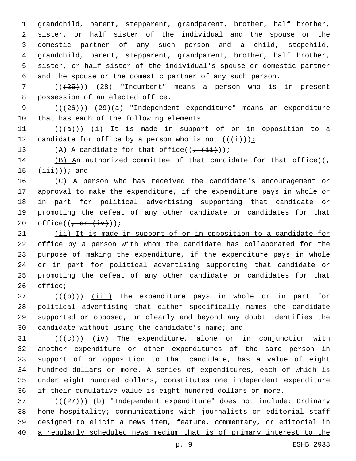grandchild, parent, stepparent, grandparent, brother, half brother, sister, or half sister of the individual and the spouse or the domestic partner of any such person and a child, stepchild, grandchild, parent, stepparent, grandparent, brother, half brother, sister, or half sister of the individual's spouse or domestic partner and the spouse or the domestic partner of any such person.

 ( $(\overline{25})$ ) (28) "Incumbent" means a person who is in present 8 possession of an elected office.

9 (( $(26)$ )) (29)(a) "Independent expenditure" means an expenditure 10 that has each of the following elements:

11  $((+a))$   $(i)$  It is made in support of or in opposition to a 12 candidate for office by a person who is not  $((+\frac{1}{2})^2)$ :

13  $(A)$  A candidate for that office(( $\frac{1+i}{1+i}$ ));

14 (B) An authorized committee of that candidate for that office( $(\tau$  $(iii)$ ); and

16 (C) A person who has received the candidate's encouragement or approval to make the expenditure, if the expenditure pays in whole or in part for political advertising supporting that candidate or promoting the defeat of any other candidate or candidates for that 20 office( $(\frac{\pi}{2})$ ) office( $(\frac{\pi}{2})$ 

 (ii) It is made in support of or in opposition to a candidate for office by a person with whom the candidate has collaborated for the purpose of making the expenditure, if the expenditure pays in whole or in part for political advertising supporting that candidate or promoting the defeat of any other candidate or candidates for that 26 office;

 ( $(\overline{+b})$ ) (iii) The expenditure pays in whole or in part for political advertising that either specifically names the candidate supported or opposed, or clearly and beyond any doubt identifies the 30 candidate without using the candidate's name; and

 $((\{e\})$  (iv) The expenditure, alone or in conjunction with another expenditure or other expenditures of the same person in support of or opposition to that candidate, has a value of eight hundred dollars or more. A series of expenditures, each of which is under eight hundred dollars, constitutes one independent expenditure if their cumulative value is eight hundred dollars or more.

37 (( $(27)$ )) (b) "Independent expenditure" does not include: Ordinary home hospitality; communications with journalists or editorial staff designed to elicit a news item, feature, commentary, or editorial in a regularly scheduled news medium that is of primary interest to the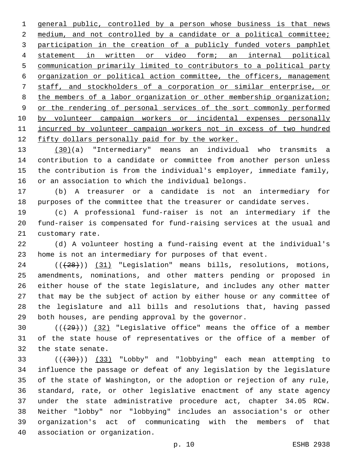general public, controlled by a person whose business is that news 2 medium, and not controlled by a candidate or a political committee; participation in the creation of a publicly funded voters pamphlet statement in written or video form; an internal political communication primarily limited to contributors to a political party organization or political action committee, the officers, management staff, and stockholders of a corporation or similar enterprise, or 8 the members of a labor organization or other membership organization; or the rendering of personal services of the sort commonly performed by volunteer campaign workers or incidental expenses personally incurred by volunteer campaign workers not in excess of two hundred 12 fifty dollars personally paid for by the worker.

 (30)(a) "Intermediary" means an individual who transmits a contribution to a candidate or committee from another person unless the contribution is from the individual's employer, immediate family, or an association to which the individual belongs.

 (b) A treasurer or a candidate is not an intermediary for purposes of the committee that the treasurer or candidate serves.

 (c) A professional fund-raiser is not an intermediary if the fund-raiser is compensated for fund-raising services at the usual and 21 customary rate.

 (d) A volunteer hosting a fund-raising event at the individual's home is not an intermediary for purposes of that event.

24 (( $(28)$ )) (31) "Legislation" means bills, resolutions, motions, amendments, nominations, and other matters pending or proposed in either house of the state legislature, and includes any other matter that may be the subject of action by either house or any committee of the legislature and all bills and resolutions that, having passed both houses, are pending approval by the governor.

30  $((+29))$   $(32)$  "Legislative office" means the office of a member of the state house of representatives or the office of a member of 32 the state senate.

 (((30))) (33) "Lobby" and "lobbying" each mean attempting to influence the passage or defeat of any legislation by the legislature of the state of Washington, or the adoption or rejection of any rule, standard, rate, or other legislative enactment of any state agency under the state administrative procedure act, chapter 34.05 RCW. Neither "lobby" nor "lobbying" includes an association's or other organization's act of communicating with the members of that 40 association or organization.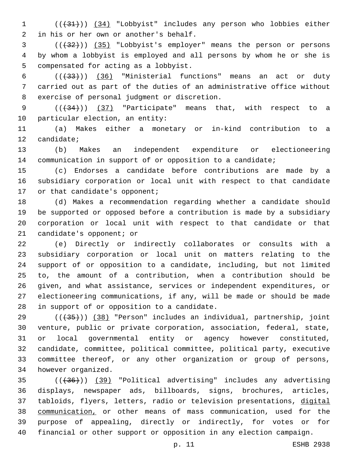1 (( $(31)$ ) (34) "Lobbyist" includes any person who lobbies either 2 in his or her own or another's behalf.

 (((32))) (35) "Lobbyist's employer" means the person or persons by whom a lobbyist is employed and all persons by whom he or she is 5 compensated for acting as a lobbyist.

6  $((+33))$   $(36)$  "Ministerial functions" means an act or duty carried out as part of the duties of an administrative office without 8 exercise of personal judgment or discretion.

9  $((+34))$   $(37)$  "Participate" means that, with respect to a 10 particular election, an entity:

 (a) Makes either a monetary or in-kind contribution to a 12 candidate;

 (b) Makes an independent expenditure or electioneering communication in support of or opposition to a candidate;

 (c) Endorses a candidate before contributions are made by a subsidiary corporation or local unit with respect to that candidate 17 or that candidate's opponent;

 (d) Makes a recommendation regarding whether a candidate should be supported or opposed before a contribution is made by a subsidiary corporation or local unit with respect to that candidate or that 21 candidate's opponent; or

 (e) Directly or indirectly collaborates or consults with a subsidiary corporation or local unit on matters relating to the support of or opposition to a candidate, including, but not limited to, the amount of a contribution, when a contribution should be given, and what assistance, services or independent expenditures, or electioneering communications, if any, will be made or should be made 28 in support of or opposition to a candidate.

 $((+35))$  (38) "Person" includes an individual, partnership, joint venture, public or private corporation, association, federal, state, or local governmental entity or agency however constituted, candidate, committee, political committee, political party, executive committee thereof, or any other organization or group of persons, 34 however organized.

 (((36))) (39) "Political advertising" includes any advertising displays, newspaper ads, billboards, signs, brochures, articles, tabloids, flyers, letters, radio or television presentations, digital communication, or other means of mass communication, used for the purpose of appealing, directly or indirectly, for votes or for financial or other support or opposition in any election campaign.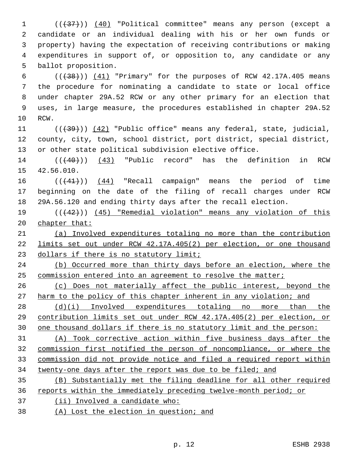1 (( $\left(\frac{37}{1}\right)$ ) (40) "Political committee" means any person (except a candidate or an individual dealing with his or her own funds or property) having the expectation of receiving contributions or making expenditures in support of, or opposition to, any candidate or any 5 ballot proposition.

 $((+38))$   $(41)$  "Primary" for the purposes of RCW 42.17A.405 means the procedure for nominating a candidate to state or local office under chapter 29A.52 RCW or any other primary for an election that uses, in large measure, the procedures established in chapter 29A.52 10 RCW.

11 ((+39))) (42) "Public office" means any federal, state, judicial, county, city, town, school district, port district, special district, or other state political subdivision elective office.

14 (( $(40)$ )) (43) "Public record" has the definition in RCW 15 42.56.010.

 $((41))$   $(44)$  "Recall campaign" means the period of time beginning on the date of the filing of recall charges under RCW 29A.56.120 and ending thirty days after the recall election.

 (((42))) (45) "Remedial violation" means any violation of this 20 chapter that:

 (a) Involved expenditures totaling no more than the contribution limits set out under RCW 42.17A.405(2) per election, or one thousand 23 dollars if there is no statutory limit;

 (b) Occurred more than thirty days before an election, where the 25 commission entered into an agreement to resolve the matter;

 (c) Does not materially affect the public interest, beyond the 27 harm to the policy of this chapter inherent in any violation; and

 (d)(i) Involved expenditures totaling no more than the contribution limits set out under RCW 42.17A.405(2) per election, or one thousand dollars if there is no statutory limit and the person:

 (A) Took corrective action within five business days after the commission first notified the person of noncompliance, or where the commission did not provide notice and filed a required report within twenty-one days after the report was due to be filed; and

 (B) Substantially met the filing deadline for all other required reports within the immediately preceding twelve-month period; or

- (ii) Involved a candidate who:
- (A) Lost the election in question; and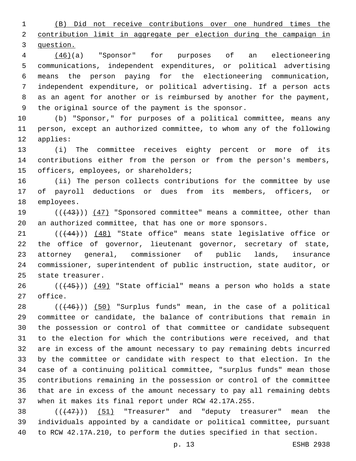(B) Did not receive contributions over one hundred times the contribution limit in aggregate per election during the campaign in question.

 (46)(a) "Sponsor" for purposes of an electioneering communications, independent expenditures, or political advertising means the person paying for the electioneering communication, independent expenditure, or political advertising. If a person acts as an agent for another or is reimbursed by another for the payment, 9 the original source of the payment is the sponsor.

 (b) "Sponsor," for purposes of a political committee, means any person, except an authorized committee, to whom any of the following 12 applies:

 (i) The committee receives eighty percent or more of its contributions either from the person or from the person's members, 15 officers, employees, or shareholders;

 (ii) The person collects contributions for the committee by use of payroll deductions or dues from its members, officers, or 18 employees.

19 (( $(43)$ )) (47) "Sponsored committee" means a committee, other than an authorized committee, that has one or more sponsors.

21 (( $(44)$ )) (48) "State office" means state legislative office or the office of governor, lieutenant governor, secretary of state, attorney general, commissioner of public lands, insurance commissioner, superintendent of public instruction, state auditor, or 25 state treasurer.

 ( $(445)$ ) (49) "State official" means a person who holds a state 27 office.

 ( $(446)$ )) (50) "Surplus funds" mean, in the case of a political committee or candidate, the balance of contributions that remain in the possession or control of that committee or candidate subsequent to the election for which the contributions were received, and that are in excess of the amount necessary to pay remaining debts incurred by the committee or candidate with respect to that election. In the case of a continuing political committee, "surplus funds" mean those contributions remaining in the possession or control of the committee that are in excess of the amount necessary to pay all remaining debts when it makes its final report under RCW 42.17A.255.

38  $((+47))$   $(51)$  "Treasurer" and "deputy treasurer" mean the individuals appointed by a candidate or political committee, pursuant to RCW 42.17A.210, to perform the duties specified in that section.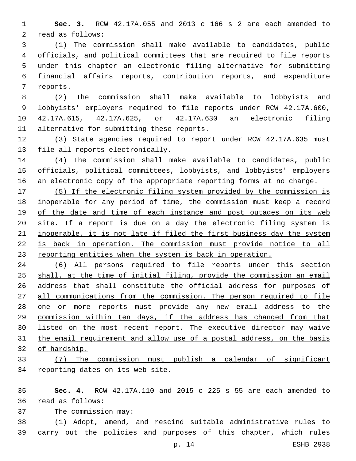**Sec. 3.** RCW 42.17A.055 and 2013 c 166 s 2 are each amended to 2 read as follows:

 (1) The commission shall make available to candidates, public officials, and political committees that are required to file reports under this chapter an electronic filing alternative for submitting financial affairs reports, contribution reports, and expenditure 7 reports.

 (2) The commission shall make available to lobbyists and lobbyists' employers required to file reports under RCW 42.17A.600, 42.17A.615, 42.17A.625, or 42.17A.630 an electronic filing 11 alternative for submitting these reports.

 (3) State agencies required to report under RCW 42.17A.635 must 13 file all reports electronically.

 (4) The commission shall make available to candidates, public officials, political committees, lobbyists, and lobbyists' employers an electronic copy of the appropriate reporting forms at no charge.

 (5) If the electronic filing system provided by the commission is inoperable for any period of time, the commission must keep a record 19 of the date and time of each instance and post outages on its web site. If a report is due on a day the electronic filing system is inoperable, it is not late if filed the first business day the system is back in operation. The commission must provide notice to all reporting entities when the system is back in operation.

 (6) All persons required to file reports under this section shall, at the time of initial filing, provide the commission an email address that shall constitute the official address for purposes of all communications from the commission. The person required to file one or more reports must provide any new email address to the commission within ten days, if the address has changed from that 30 listed on the most recent report. The executive director may waive 31 the email requirement and allow use of a postal address, on the basis of hardship.

## (7) The commission must publish a calendar of significant 34 reporting dates on its web site.

 **Sec. 4.** RCW 42.17A.110 and 2015 c 225 s 55 are each amended to 36 read as follows:

37 The commission may:

 (1) Adopt, amend, and rescind suitable administrative rules to carry out the policies and purposes of this chapter, which rules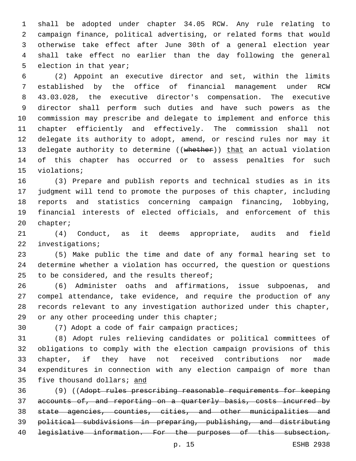shall be adopted under chapter 34.05 RCW. Any rule relating to campaign finance, political advertising, or related forms that would otherwise take effect after June 30th of a general election year shall take effect no earlier than the day following the general 5 election in that year;

 (2) Appoint an executive director and set, within the limits established by the office of financial management under RCW 43.03.028, the executive director's compensation. The executive director shall perform such duties and have such powers as the commission may prescribe and delegate to implement and enforce this chapter efficiently and effectively. The commission shall not delegate its authority to adopt, amend, or rescind rules nor may it 13 delegate authority to determine ((whether)) that an actual violation of this chapter has occurred or to assess penalties for such 15 violations;

 (3) Prepare and publish reports and technical studies as in its judgment will tend to promote the purposes of this chapter, including reports and statistics concerning campaign financing, lobbying, financial interests of elected officials, and enforcement of this 20 chapter;

 (4) Conduct, as it deems appropriate, audits and field 22 investigations;

 (5) Make public the time and date of any formal hearing set to determine whether a violation has occurred, the question or questions 25 to be considered, and the results thereof;

 (6) Administer oaths and affirmations, issue subpoenas, and compel attendance, take evidence, and require the production of any records relevant to any investigation authorized under this chapter, 29 or any other proceeding under this chapter;

30 (7) Adopt a code of fair campaign practices;

 (8) Adopt rules relieving candidates or political committees of obligations to comply with the election campaign provisions of this chapter, if they have not received contributions nor made expenditures in connection with any election campaign of more than 35 five thousand dollars; and

 (9) ((Adopt rules prescribing reasonable requirements for keeping accounts of, and reporting on a quarterly basis, costs incurred by state agencies, counties, cities, and other municipalities and political subdivisions in preparing, publishing, and distributing legislative information. For the purposes of this subsection,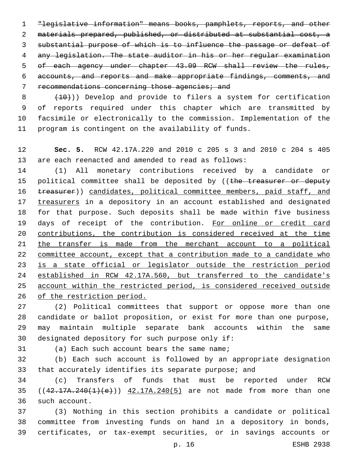"legislative information" means books, pamphlets, reports, and other materials prepared, published, or distributed at substantial cost, a substantial purpose of which is to influence the passage or defeat of any legislation. The state auditor in his or her regular examination of each agency under chapter 43.09 RCW shall review the rules, accounts, and reports and make appropriate findings, comments, and 7 recommendations concerning those agencies; and

  $(10)$ )) Develop and provide to filers a system for certification of reports required under this chapter which are transmitted by facsimile or electronically to the commission. Implementation of the program is contingent on the availability of funds.

 **Sec. 5.** RCW 42.17A.220 and 2010 c 205 s 3 and 2010 c 204 s 405 are each reenacted and amended to read as follows:

 (1) All monetary contributions received by a candidate or 15 political committee shall be deposited by ((the treasurer or deputy 16 treasurer)) candidates, political committee members, paid staff, and treasurers in a depository in an account established and designated for that purpose. Such deposits shall be made within five business 19 days of receipt of the contribution. For online or credit card contributions, the contribution is considered received at the time 21 the transfer is made from the merchant account to a political 22 committee account, except that a contribution made to a candidate who is a state official or legislator outside the restriction period established in RCW 42.17A.560, but transferred to the candidate's account within the restricted period, is considered received outside of the restriction period.

 (2) Political committees that support or oppose more than one candidate or ballot proposition, or exist for more than one purpose, may maintain multiple separate bank accounts within the same 30 designated depository for such purpose only if:

31 (a) Each such account bears the same name;

 (b) Each such account is followed by an appropriate designation that accurately identifies its separate purpose; and

 (c) Transfers of funds that must be reported under RCW 35 ((42.17A.240(1)(e))) 42.17A.240(5) are not made from more than one 36 such account.

 (3) Nothing in this section prohibits a candidate or political committee from investing funds on hand in a depository in bonds, certificates, or tax-exempt securities, or in savings accounts or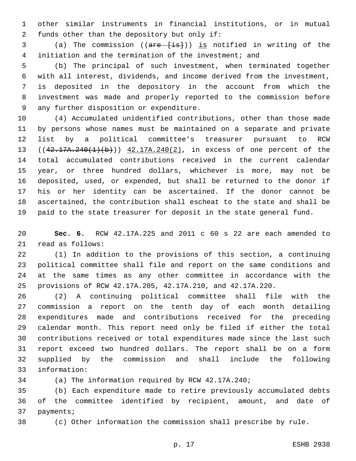other similar instruments in financial institutions, or in mutual 2 funds other than the depository but only if:

 (a) The commission ((are [is])) is notified in writing of the initiation and the termination of the investment; and

 (b) The principal of such investment, when terminated together with all interest, dividends, and income derived from the investment, is deposited in the depository in the account from which the investment was made and properly reported to the commission before 9 any further disposition or expenditure.

 (4) Accumulated unidentified contributions, other than those made by persons whose names must be maintained on a separate and private list by a political committee's treasurer pursuant to RCW 13 ((42.17A.240(1)(b))) 42.17A.240(2), in excess of one percent of the total accumulated contributions received in the current calendar year, or three hundred dollars, whichever is more, may not be deposited, used, or expended, but shall be returned to the donor if his or her identity can be ascertained. If the donor cannot be ascertained, the contribution shall escheat to the state and shall be paid to the state treasurer for deposit in the state general fund.

 **Sec. 6.** RCW 42.17A.225 and 2011 c 60 s 22 are each amended to 21 read as follows:

 (1) In addition to the provisions of this section, a continuing political committee shall file and report on the same conditions and at the same times as any other committee in accordance with the provisions of RCW 42.17A.205, 42.17A.210, and 42.17A.220.

 (2) A continuing political committee shall file with the commission a report on the tenth day of each month detailing expenditures made and contributions received for the preceding calendar month. This report need only be filed if either the total contributions received or total expenditures made since the last such report exceed two hundred dollars. The report shall be on a form supplied by the commission and shall include the following information:33

(a) The information required by RCW 42.17A.240;

 (b) Each expenditure made to retire previously accumulated debts of the committee identified by recipient, amount, and date of 37 payments;

(c) Other information the commission shall prescribe by rule.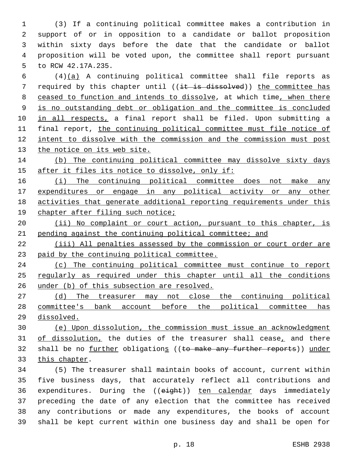(3) If a continuing political committee makes a contribution in support of or in opposition to a candidate or ballot proposition within sixty days before the date that the candidate or ballot proposition will be voted upon, the committee shall report pursuant 5 to RCW 42.17A.235.

 (4)(a) A continuing political committee shall file reports as 7 required by this chapter until  $((\pm \pm \text{ is dissolved}))$  the committee has ceased to function and intends to dissolve, at which time, when there is no outstanding debt or obligation and the committee is concluded 10 in all respects, a final report shall be filed. Upon submitting a final report, the continuing political committee must file notice of intent to dissolve with the commission and the commission must post 13 the notice on its web site.

 (b) The continuing political committee may dissolve sixty days 15 after it files its notice to dissolve, only if:

16 (i) The continuing political committee does not make any expenditures or engage in any political activity or any other activities that generate additional reporting requirements under this 19 chapter after filing such notice;

20 (ii) No complaint or court action, pursuant to this chapter, is pending against the continuing political committee; and

 (iii) All penalties assessed by the commission or court order are paid by the continuing political committee.

 (c) The continuing political committee must continue to report regularly as required under this chapter until all the conditions under (b) of this subsection are resolved.

 (d) The treasurer may not close the continuing political committee's bank account before the political committee has dissolved.

 (e) Upon dissolution, the commission must issue an acknowledgment 31 of dissolution, the duties of the treasurer shall cease, and there 32 shall be no further obligations ((to make any further reports)) under 33 this chapter.

 (5) The treasurer shall maintain books of account, current within five business days, that accurately reflect all contributions and 36 expenditures. During the ((eight)) ten calendar days immediately preceding the date of any election that the committee has received any contributions or made any expenditures, the books of account shall be kept current within one business day and shall be open for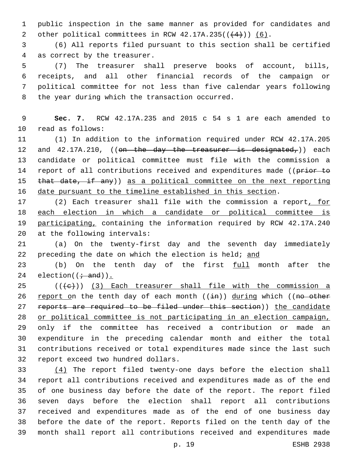public inspection in the same manner as provided for candidates and 2 other political committees in RCW  $42.17A.235((+4))$   $(6)$ .

 (6) All reports filed pursuant to this section shall be certified 4 as correct by the treasurer.

 (7) The treasurer shall preserve books of account, bills, receipts, and all other financial records of the campaign or political committee for not less than five calendar years following 8 the year during which the transaction occurred.

 **Sec. 7.** RCW 42.17A.235 and 2015 c 54 s 1 are each amended to 10 read as follows:

 (1) In addition to the information required under RCW 42.17A.205 12 and  $42.17A.210$ , ((on the day the treasurer is designated,)) each candidate or political committee must file with the commission a 14 report of all contributions received and expenditures made ((prior to 15 that date, if any)) as a political committee on the next reporting date pursuant to the timeline established in this section.

 (2) Each treasurer shall file with the commission a report, for each election in which a candidate or political committee is participating, containing the information required by RCW 42.17A.240 20 at the following intervals:

 (a) On the twenty-first day and the seventh day immediately 22 preceding the date on which the election is held; and

23 (b) On the tenth day of the first full month after the 24 election( $(\div \text{ and})$ ).

 (( $\left( +e+ \right)$ ) (3) Each treasurer shall file with the commission a 26 report on the tenth day of each month  $((\frac{1}{2}n))$  during which  $((no-other$ 27 reports are required to be filed under this section)) the candidate or political committee is not participating in an election campaign, only if the committee has received a contribution or made an expenditure in the preceding calendar month and either the total contributions received or total expenditures made since the last such 32 report exceed two hundred dollars.

 (4) The report filed twenty-one days before the election shall report all contributions received and expenditures made as of the end of one business day before the date of the report. The report filed seven days before the election shall report all contributions received and expenditures made as of the end of one business day before the date of the report. Reports filed on the tenth day of the month shall report all contributions received and expenditures made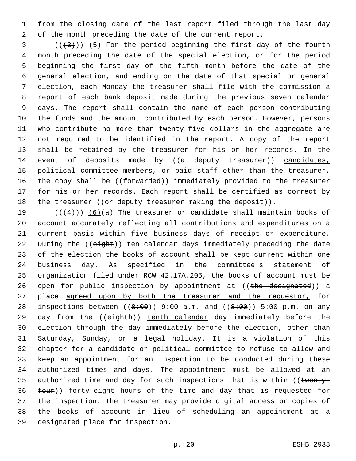from the closing date of the last report filed through the last day of the month preceding the date of the current report.

 ( $(\frac{43}{})$ ) (5) For the period beginning the first day of the fourth month preceding the date of the special election, or for the period beginning the first day of the fifth month before the date of the general election, and ending on the date of that special or general election, each Monday the treasurer shall file with the commission a report of each bank deposit made during the previous seven calendar days. The report shall contain the name of each person contributing the funds and the amount contributed by each person. However, persons who contribute no more than twenty-five dollars in the aggregate are not required to be identified in the report. A copy of the report shall be retained by the treasurer for his or her records. In the 14 event of deposits made by ((a deputy treasurer)) candidates, political committee members, or paid staff other than the treasurer, 16 the copy shall be ((forwarded)) immediately provided to the treasurer for his or her records. Each report shall be certified as correct by 18 the treasurer (( $or$  deputy treasurer making the deposit)).

 $((+4))$   $(6)(a)$  The treasurer or candidate shall maintain books of account accurately reflecting all contributions and expenditures on a current basis within five business days of receipt or expenditure. 22 During the ((eight)) ten calendar days immediately preceding the date of the election the books of account shall be kept current within one business day. As specified in the committee's statement of organization filed under RCW 42.17A.205, the books of account must be 26 open for public inspection by appointment at  $((the desired) ) a$ 27 place agreed upon by both the treasurer and the requestor, for 28 inspections between  $((8:00)$  9:00 a.m. and  $((8:00)$  5:00 p.m. on any 29 day from the ((eighth)) tenth calendar day immediately before the election through the day immediately before the election, other than Saturday, Sunday, or a legal holiday. It is a violation of this chapter for a candidate or political committee to refuse to allow and keep an appointment for an inspection to be conducted during these authorized times and days. The appointment must be allowed at an 35 authorized time and day for such inspections that is within ((twenty-36 four)) forty-eight hours of the time and day that is requested for the inspection. The treasurer may provide digital access or copies of the books of account in lieu of scheduling an appointment at a designated place for inspection.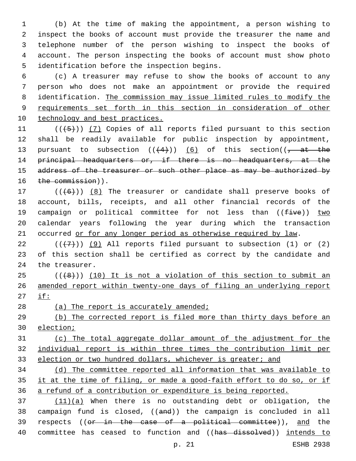(b) At the time of making the appointment, a person wishing to inspect the books of account must provide the treasurer the name and telephone number of the person wishing to inspect the books of account. The person inspecting the books of account must show photo 5 identification before the inspection begins.

 (c) A treasurer may refuse to show the books of account to any person who does not make an appointment or provide the required identification. The commission may issue limited rules to modify the requirements set forth in this section in consideration of other technology and best practices.

11  $((+5+))$   $(7)$  Copies of all reports filed pursuant to this section shall be readily available for public inspection by appointment, 13 pursuant to subsection  $((+4))$  (6) of this section( $(-4)$ 14 principal headquarters or, if there is no headquarters, at the 15 address of the treasurer or such other place as may be authorized by 16 the commission)).

17  $((+6+))$   $(8)$  The treasurer or candidate shall preserve books of account, bills, receipts, and all other financial records of the 19 campaign or political committee for not less than  $((five))$  two calendar years following the year during which the transaction 21 occurred or for any longer period as otherwise required by law.

 $(1)$  (( $(1)$ )) (9) All reports filed pursuant to subsection (1) or (2) of this section shall be certified as correct by the candidate and 24 the treasurer.

 ( $(\overline{+8})$ ) (10) It is not a violation of this section to submit an amended report within twenty-one days of filing an underlying report if:

28 (a) The report is accurately amended;

 (b) The corrected report is filed more than thirty days before an election;

 (c) The total aggregate dollar amount of the adjustment for the individual report is within three times the contribution limit per 33 election or two hundred dollars, whichever is greater; and

 (d) The committee reported all information that was available to it at the time of filing, or made a good-faith effort to do so, or if a refund of a contribution or expenditure is being reported.

 (11)(a) When there is no outstanding debt or obligation, the campaign fund is closed, ((and)) the campaign is concluded in all 39 respects ((or in the case of a political committee)), and the 40 committee has ceased to function and ((has dissolved)) intends to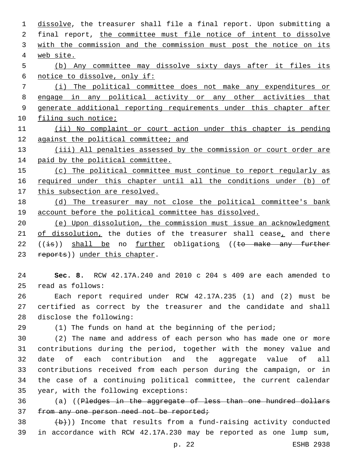1 dissolve, the treasurer shall file a final report. Upon submitting a 2 final report, the committee must file notice of intent to dissolve 3 with the commission and the commission must post the notice on its web site. (b) Any committee may dissolve sixty days after it files its notice to dissolve, only if: (i) The political committee does not make any expenditures or engage in any political activity or any other activities that generate additional reporting requirements under this chapter after 10 filing such notice; (ii) No complaint or court action under this chapter is pending against the political committee; and 13 (iii) All penalties assessed by the commission or court order are paid by the political committee. (c) The political committee must continue to report regularly as required under this chapter until all the conditions under (b) of 17 this subsection are resolved. (d) The treasurer may not close the political committee's bank account before the political committee has dissolved. (e) Upon dissolution, the commission must issue an acknowledgment 21 of dissolution, the duties of the treasurer shall cease, and there ((is)) shall be no further obligations ((to make any further 23 reports)) under this chapter. **Sec. 8.** RCW 42.17A.240 and 2010 c 204 s 409 are each amended to read as follows:25 Each report required under RCW 42.17A.235 (1) and (2) must be certified as correct by the treasurer and the candidate and shall 28 disclose the following: (1) The funds on hand at the beginning of the period; (2) The name and address of each person who has made one or more contributions during the period, together with the money value and date of each contribution and the aggregate value of all contributions received from each person during the campaign, or in

36 (a) ((Pledges in the aggregate of less than one hundred dollars 37 from any one person need not be reported;

35 year, with the following exceptions:

 $\left(\frac{b}{b}\right)$ ) Income that results from a fund-raising activity conducted in accordance with RCW 42.17A.230 may be reported as one lump sum,

the case of a continuing political committee, the current calendar

p. 22 ESHB 2938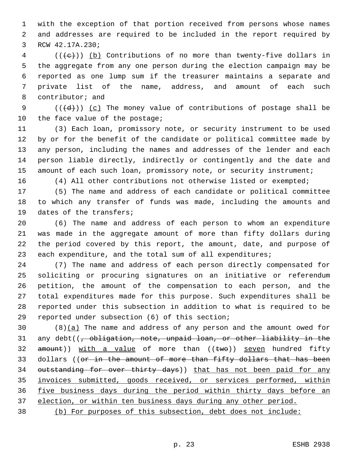with the exception of that portion received from persons whose names and addresses are required to be included in the report required by 3 RCW 42.17A.230;

 (( $\left(\frac{1}{e}\right)$ ) (b) Contributions of no more than twenty-five dollars in the aggregate from any one person during the election campaign may be reported as one lump sum if the treasurer maintains a separate and private list of the name, address, and amount of each such 8 contributor; and

9  $((\{d\}))(c)$  The money value of contributions of postage shall be 10 the face value of the postage;

 (3) Each loan, promissory note, or security instrument to be used by or for the benefit of the candidate or political committee made by any person, including the names and addresses of the lender and each person liable directly, indirectly or contingently and the date and 15 amount of each such loan, promissory note, or security instrument;

- -

(4) All other contributions not otherwise listed or exempted;

 (5) The name and address of each candidate or political committee to which any transfer of funds was made, including the amounts and 19 dates of the transfers;

 (6) The name and address of each person to whom an expenditure was made in the aggregate amount of more than fifty dollars during the period covered by this report, the amount, date, and purpose of 23 each expenditure, and the total sum of all expenditures;

 (7) The name and address of each person directly compensated for soliciting or procuring signatures on an initiative or referendum petition, the amount of the compensation to each person, and the total expenditures made for this purpose. Such expenditures shall be reported under this subsection in addition to what is required to be 29 reported under subsection (6) of this section;

 $(8)(a)$  The name and address of any person and the amount owed for 31 any debt((<del>, obligation, note, unpaid loan, or other liability in the</del>  $a$ mount)) with a value of more than (( $t$ wo)) seven hundred fifty 33 dollars ((or in the amount of more than fifty dollars that has been 34 outstanding for over thirty days)) that has not been paid for any invoices submitted, goods received, or services performed, within five business days during the period within thirty days before an election, or within ten business days during any other period.

(b) For purposes of this subsection, debt does not include: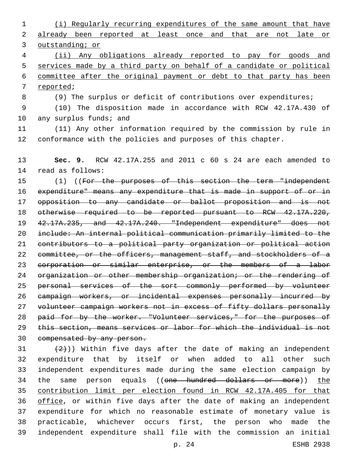(i) Regularly recurring expenditures of the same amount that have 2 already been reported at least once and that are not late or outstanding; or (ii) Any obligations already reported to pay for goods and services made by a third party on behalf of a candidate or political committee after the original payment or debt to that party has been 7 reported; (9) The surplus or deficit of contributions over expenditures; (10) The disposition made in accordance with RCW 42.17A.430 of 10 any surplus funds; and (11) Any other information required by the commission by rule in conformance with the policies and purposes of this chapter. **Sec. 9.** RCW 42.17A.255 and 2011 c 60 s 24 are each amended to 14 read as follows: 15 (1) ((For the purposes of this section the term "independent expenditure" means any expenditure that is made in support of or in opposition to any candidate or ballot proposition and is not otherwise required to be reported pursuant to RCW 42.17A.220, 42.17A.235, and 42.17A.240. "Independent expenditure" does not include: An internal political communication primarily limited to the contributors to a political party organization or political action 22 committee, or the officers, management staff, and stockholders of a 23 corporation or similar enterprise, or the members of a labor 24 organization or other membership organization; or the rendering of personal services of the sort commonly performed by volunteer campaign workers, or incidental expenses personally incurred by volunteer campaign workers not in excess of fifty dollars personally 28 paid for by the worker. "Volunteer services," for the purposes of this section, means services or labor for which the individual is not compensated by any person.  $(2)$ )) Within five days after the date of making an independent expenditure that by itself or when added to all other such independent expenditures made during the same election campaign by 34 the same person equals ((one hundred dollars or more)) the contribution limit per election found in RCW 42.17A.405 for that

36 office, or within five days after the date of making an independent expenditure for which no reasonable estimate of monetary value is practicable, whichever occurs first, the person who made the independent expenditure shall file with the commission an initial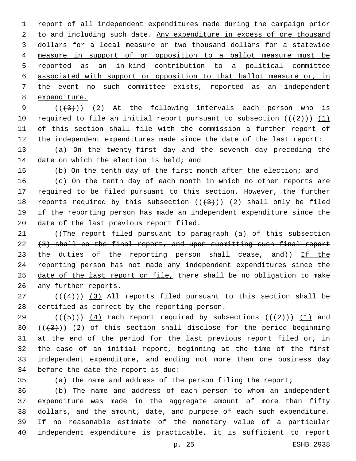report of all independent expenditures made during the campaign prior to and including such date. Any expenditure in excess of one thousand dollars for a local measure or two thousand dollars for a statewide measure in support of or opposition to a ballot measure must be reported as an in-kind contribution to a political committee associated with support or opposition to that ballot measure or, in the event no such committee exists, reported as an independent expenditure.

 $((+3+))$   $(2)$  At the following intervals each person who is 10 required to file an initial report pursuant to subsection  $((+2))$   $(1)$  of this section shall file with the commission a further report of the independent expenditures made since the date of the last report:

 (a) On the twenty-first day and the seventh day preceding the 14 date on which the election is held; and

(b) On the tenth day of the first month after the election; and

 (c) On the tenth day of each month in which no other reports are required to be filed pursuant to this section. However, the further 18 reports required by this subsection  $((+3+))$  (2) shall only be filed if the reporting person has made an independent expenditure since the 20 date of the last previous report filed.

21 (The report filed pursuant to paragraph (a) of this subsection  $(3)$  shall be the final report, and upon submitting such final report 23 the duties of the reporting person shall cease, and)) If the reporting person has not made any independent expenditures since the 25 date of the last report on file, there shall be no obligation to make 26 any further reports.

 $(1 + 4)$  (( $(4)$ )) (3) All reports filed pursuant to this section shall be 28 certified as correct by the reporting person.

29 ( $(\overline{+5})$ ) (4) Each report required by subsections ( $(\overline{+2})$ ) (1) and  $((+3))$   $(2)$  of this section shall disclose for the period beginning at the end of the period for the last previous report filed or, in the case of an initial report, beginning at the time of the first independent expenditure, and ending not more than one business day 34 before the date the report is due:

(a) The name and address of the person filing the report;

 (b) The name and address of each person to whom an independent expenditure was made in the aggregate amount of more than fifty dollars, and the amount, date, and purpose of each such expenditure. If no reasonable estimate of the monetary value of a particular independent expenditure is practicable, it is sufficient to report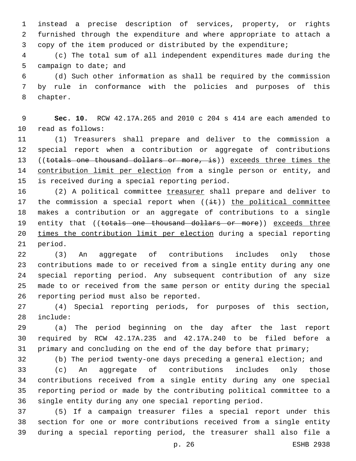instead a precise description of services, property, or rights furnished through the expenditure and where appropriate to attach a copy of the item produced or distributed by the expenditure;

 (c) The total sum of all independent expenditures made during the 5 campaign to date; and

 (d) Such other information as shall be required by the commission by rule in conformance with the policies and purposes of this 8 chapter.

 **Sec. 10.** RCW 42.17A.265 and 2010 c 204 s 414 are each amended to 10 read as follows:

 (1) Treasurers shall prepare and deliver to the commission a special report when a contribution or aggregate of contributions 13 ((totals one thousand dollars or more, is)) exceeds three times the 14 contribution limit per election from a single person or entity, and 15 is received during a special reporting period.

 (2) A political committee treasurer shall prepare and deliver to 17 the commission a special report when  $((i+1)(i+1))$  the political committee makes a contribution or an aggregate of contributions to a single 19 entity that ((totals one thousand dollars or more)) exceeds three times the contribution limit per election during a special reporting 21 period.

 (3) An aggregate of contributions includes only those contributions made to or received from a single entity during any one special reporting period. Any subsequent contribution of any size made to or received from the same person or entity during the special 26 reporting period must also be reported.

 (4) Special reporting periods, for purposes of this section, 28 include:

 (a) The period beginning on the day after the last report required by RCW 42.17A.235 and 42.17A.240 to be filed before a 31 primary and concluding on the end of the day before that primary;

(b) The period twenty-one days preceding a general election; and

 (c) An aggregate of contributions includes only those contributions received from a single entity during any one special reporting period or made by the contributing political committee to a single entity during any one special reporting period.

 (5) If a campaign treasurer files a special report under this section for one or more contributions received from a single entity during a special reporting period, the treasurer shall also file a

p. 26 ESHB 2938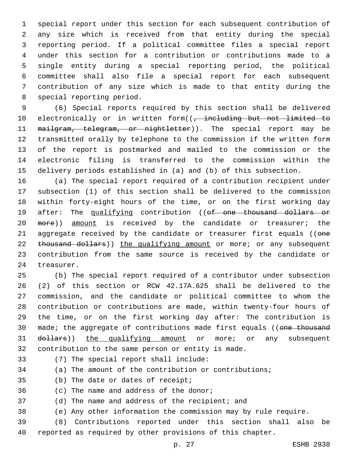special report under this section for each subsequent contribution of any size which is received from that entity during the special reporting period. If a political committee files a special report under this section for a contribution or contributions made to a single entity during a special reporting period, the political committee shall also file a special report for each subsequent contribution of any size which is made to that entity during the 8 special reporting period.

 (6) Special reports required by this section shall be delivered 10 electronically or in written form((, including but not limited to 11 mailgram, telegram, or nightletter)). The special report may be transmitted orally by telephone to the commission if the written form of the report is postmarked and mailed to the commission or the electronic filing is transferred to the commission within the delivery periods established in (a) and (b) of this subsection.

 (a) The special report required of a contribution recipient under subsection (1) of this section shall be delivered to the commission within forty-eight hours of the time, or on the first working day 19 after: The qualifying contribution ((of one thousand dollars or 20 more)) amount is received by the candidate or treasurer; the 21 aggregate received by the candidate or treasurer first equals ((one 22 thousand dollars)) the qualifying amount or more; or any subsequent contribution from the same source is received by the candidate or 24 treasurer.

 (b) The special report required of a contributor under subsection (2) of this section or RCW 42.17A.625 shall be delivered to the commission, and the candidate or political committee to whom the contribution or contributions are made, within twenty-four hours of the time, or on the first working day after: The contribution is 30 made; the aggregate of contributions made first equals ((one thousand 31 dollars)) the qualifying amount or more; or any subsequent contribution to the same person or entity is made.

33 (7) The special report shall include:

(a) The amount of the contribution or contributions;

35 (b) The date or dates of receipt;

36 (c) The name and address of the donor;

(d) The name and address of the recipient; and

(e) Any other information the commission may by rule require.

 (8) Contributions reported under this section shall also be reported as required by other provisions of this chapter.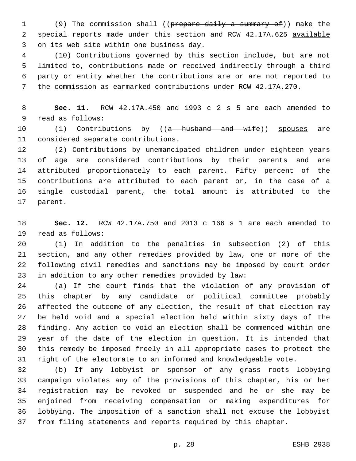(9) The commission shall ((prepare daily a summary of)) make the 2 special reports made under this section and RCW 42.17A.625 available 3 on its web site within one business day.

 (10) Contributions governed by this section include, but are not limited to, contributions made or received indirectly through a third party or entity whether the contributions are or are not reported to the commission as earmarked contributions under RCW 42.17A.270.

 **Sec. 11.** RCW 42.17A.450 and 1993 c 2 s 5 are each amended to 9 read as follows:

10 (1) Contributions by ((a husband and wife)) spouses are 11 considered separate contributions.

 (2) Contributions by unemancipated children under eighteen years of age are considered contributions by their parents and are attributed proportionately to each parent. Fifty percent of the contributions are attributed to each parent or, in the case of a single custodial parent, the total amount is attributed to the 17 parent.

 **Sec. 12.** RCW 42.17A.750 and 2013 c 166 s 1 are each amended to 19 read as follows:

 (1) In addition to the penalties in subsection (2) of this section, and any other remedies provided by law, one or more of the following civil remedies and sanctions may be imposed by court order in addition to any other remedies provided by law:

 (a) If the court finds that the violation of any provision of this chapter by any candidate or political committee probably affected the outcome of any election, the result of that election may be held void and a special election held within sixty days of the finding. Any action to void an election shall be commenced within one year of the date of the election in question. It is intended that this remedy be imposed freely in all appropriate cases to protect the right of the electorate to an informed and knowledgeable vote.

 (b) If any lobbyist or sponsor of any grass roots lobbying campaign violates any of the provisions of this chapter, his or her registration may be revoked or suspended and he or she may be enjoined from receiving compensation or making expenditures for lobbying. The imposition of a sanction shall not excuse the lobbyist from filing statements and reports required by this chapter.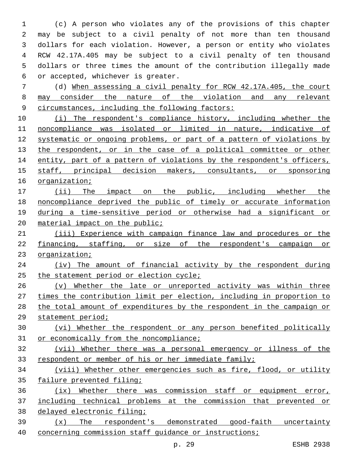(c) A person who violates any of the provisions of this chapter may be subject to a civil penalty of not more than ten thousand dollars for each violation. However, a person or entity who violates RCW 42.17A.405 may be subject to a civil penalty of ten thousand dollars or three times the amount of the contribution illegally made 6 or accepted, whichever is greater.

 (d) When assessing a civil penalty for RCW 42.17A.405, the court may consider the nature of the violation and any relevant 9 circumstances, including the following factors:

 (i) The respondent's compliance history, including whether the noncompliance was isolated or limited in nature, indicative of systematic or ongoing problems, or part of a pattern of violations by 13 the respondent, or in the case of a political committee or other 14 entity, part of a pattern of violations by the respondent's officers, staff, principal decision makers, consultants, or sponsoring organization;

17 (ii) The impact on the public, including whether the noncompliance deprived the public of timely or accurate information during a time-sensitive period or otherwise had a significant or 20 material impact on the public;

21 (iii) Experience with campaign finance law and procedures or the financing, staffing, or size of the respondent's campaign or organization;

 (iv) The amount of financial activity by the respondent during 25 the statement period or election cycle;

 (v) Whether the late or unreported activity was within three times the contribution limit per election, including in proportion to the total amount of expenditures by the respondent in the campaign or statement period;

 (vi) Whether the respondent or any person benefited politically 31 or economically from the noncompliance;

 (vii) Whether there was a personal emergency or illness of the respondent or member of his or her immediate family;

 (viii) Whether other emergencies such as fire, flood, or utility failure prevented filing;

 (ix) Whether there was commission staff or equipment error, including technical problems at the commission that prevented or delayed electronic filing;

 (x) The respondent's demonstrated good-faith uncertainty concerning commission staff guidance or instructions;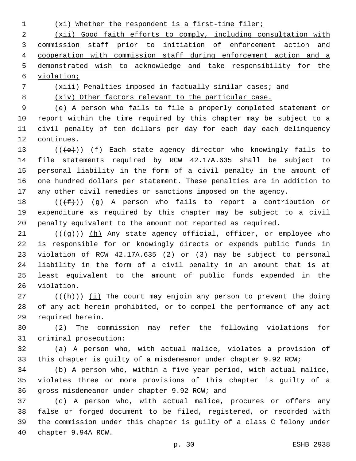(xi) Whether the respondent is a first-time filer;

 (xii) Good faith efforts to comply, including consultation with commission staff prior to initiation of enforcement action and cooperation with commission staff during enforcement action and a demonstrated wish to acknowledge and take responsibility for the violation;

(xiii) Penalties imposed in factually similar cases; and

(xiv) Other factors relevant to the particular case.

 (e) A person who fails to file a properly completed statement or report within the time required by this chapter may be subject to a civil penalty of ten dollars per day for each day each delinquency 12 continues.

13 (((+e))) (f) Each state agency director who knowingly fails to file statements required by RCW 42.17A.635 shall be subject to personal liability in the form of a civil penalty in the amount of one hundred dollars per statement. These penalties are in addition to any other civil remedies or sanctions imposed on the agency.

18  $((\text{+f-}))(q)$  A person who fails to report a contribution or expenditure as required by this chapter may be subject to a civil penalty equivalent to the amount not reported as required.

 (( $\left(\frac{1}{9}\right)$ ) (h) Any state agency official, officer, or employee who is responsible for or knowingly directs or expends public funds in violation of RCW 42.17A.635 (2) or (3) may be subject to personal liability in the form of a civil penalty in an amount that is at least equivalent to the amount of public funds expended in the 26 violation.

27 ( $(\overline{(h)})$ ) (i) The court may enjoin any person to prevent the doing of any act herein prohibited, or to compel the performance of any act 29 required herein.

 (2) The commission may refer the following violations for 31 criminal prosecution:

 (a) A person who, with actual malice, violates a provision of this chapter is guilty of a misdemeanor under chapter 9.92 RCW;

 (b) A person who, within a five-year period, with actual malice, violates three or more provisions of this chapter is guilty of a 36 gross misdemeanor under chapter 9.92 RCW; and

 (c) A person who, with actual malice, procures or offers any false or forged document to be filed, registered, or recorded with the commission under this chapter is guilty of a class C felony under 40 chapter 9.94A RCW.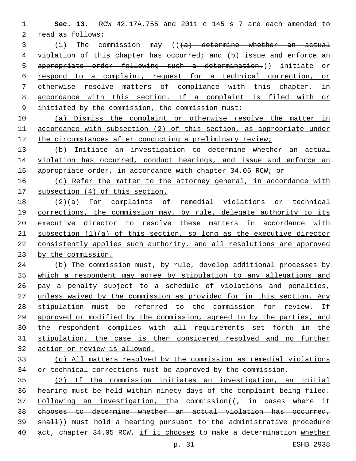**Sec. 13.** RCW 42.17A.755 and 2011 c 145 s 7 are each amended to 2 read as follows:

3 (1) The commission may ((<del>(a) determine whether an actual</del> violation of this chapter has occurred; and (b) issue and enforce an appropriate order following such a determination.)) initiate or respond to a complaint, request for a technical correction, or otherwise resolve matters of compliance with this chapter, in accordance with this section. If a complaint is filed with or initiated by the commission, the commission must:

 (a) Dismiss the complaint or otherwise resolve the matter in accordance with subsection (2) of this section, as appropriate under the circumstances after conducting a preliminary review;

 (b) Initiate an investigation to determine whether an actual violation has occurred, conduct hearings, and issue and enforce an appropriate order, in accordance with chapter 34.05 RCW; or

16 (c) Refer the matter to the attorney general, in accordance with subsection (4) of this section.

 (2)(a) For complaints of remedial violations or technical 19 corrections, the commission may, by rule, delegate authority to its executive director to resolve these matters in accordance with subsection (1)(a) of this section, so long as the executive director consistently applies such authority, and all resolutions are approved by the commission.

24 (b) The commission must, by rule, develop additional processes by which a respondent may agree by stipulation to any allegations and pay a penalty subject to a schedule of violations and penalties, 27 unless waived by the commission as provided for in this section. Any stipulation must be referred to the commission for review. If approved or modified by the commission, agreed to by the parties, and the respondent complies with all requirements set forth in the stipulation, the case is then considered resolved and no further action or review is allowed.

 (c) All matters resolved by the commission as remedial violations or technical corrections must be approved by the commission.

 (3) If the commission initiates an investigation, an initial hearing must be held within ninety days of the complaint being filed. 37 Following an investigation, the commission((, in cases where it chooses to determine whether an actual violation has occurred, 39 shall)) must hold a hearing pursuant to the administrative procedure act, chapter 34.05 RCW, if it chooses to make a determination whether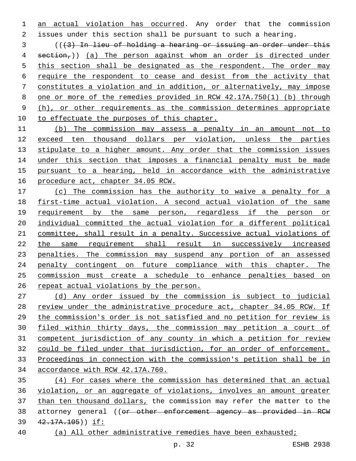an actual violation has occurred. Any order that the commission issues under this section shall be pursuant to such a hearing.

 (((3) In lieu of holding a hearing or issuing an order under this 4 section,)) (a) The person against whom an order is directed under this section shall be designated as the respondent. The order may require the respondent to cease and desist from the activity that constitutes a violation and in addition, or alternatively, may impose one or more of the remedies provided in RCW 42.17A.750(1) (b) through 9 (h), or other requirements as the commission determines appropriate to effectuate the purposes of this chapter.

 (b) The commission may assess a penalty in an amount not to exceed ten thousand dollars per violation, unless the parties 13 stipulate to a higher amount. Any order that the commission issues 14 under this section that imposes a financial penalty must be made pursuant to a hearing, held in accordance with the administrative procedure act, chapter 34.05 RCW.

 (c) The commission has the authority to waive a penalty for a first-time actual violation. A second actual violation of the same requirement by the same person, regardless if the person or individual committed the actual violation for a different political committee, shall result in a penalty. Successive actual violations of the same requirement shall result in successively increased penalties. The commission may suspend any portion of an assessed penalty contingent on future compliance with this chapter. The commission must create a schedule to enhance penalties based on 26 repeat actual violations by the person.

 (d) Any order issued by the commission is subject to judicial review under the administrative procedure act, chapter 34.05 RCW. If the commission's order is not satisfied and no petition for review is filed within thirty days, the commission may petition a court of competent jurisdiction of any county in which a petition for review could be filed under that jurisdiction, for an order of enforcement. Proceedings in connection with the commission's petition shall be in accordance with RCW 42.17A.760.

 (4) For cases where the commission has determined that an actual violation, or an aggregate of violations, involves an amount greater than ten thousand dollars, the commission may refer the matter to the 38 attorney general ((or other enforcement agency as provided in RCW 42.17A.105)) if:

(a) All other administrative remedies have been exhausted;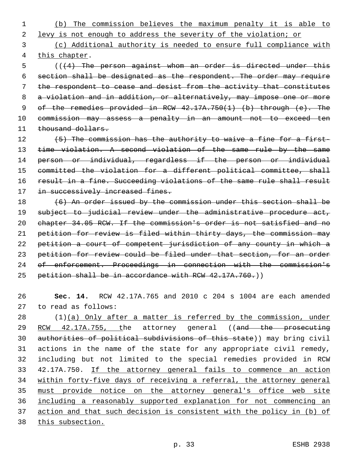(b) The commission believes the maximum penalty it is able to

levy is not enough to address the severity of the violation; or

 (c) Additional authority is needed to ensure full compliance with 4 this chapter.

 (((4) The person against whom an order is directed under this section shall be designated as the respondent. The order may require the respondent to cease and desist from the activity that constitutes 8 a violation and in addition, or alternatively, may impose one or more of the remedies provided in RCW 42.17A.750(1) (b) through (e). The commission may assess a penalty in an amount not to exceed ten 11 thousand dollars.

12 (5) The commission has the authority to waive a fine for a first-13 time violation. A second violation of the same rule by the same person or individual, regardless if the person or individual committed the violation for a different political committee, shall result in a fine. Succeeding violations of the same rule shall result 17 in successively increased fines.

 (6) An order issued by the commission under this section shall be 19 subject to judicial review under the administrative procedure act, chapter 34.05 RCW. If the commission's order is not satisfied and no petition for review is filed within thirty days, the commission may petition a court of competent jurisdiction of any county in which a petition for review could be filed under that section, for an order of enforcement. Proceedings in connection with the commission's 25 petition shall be in accordance with RCW 42.17A.760.)

 **Sec. 14.** RCW 42.17A.765 and 2010 c 204 s 1004 are each amended 27 to read as follows:

 (1)(a) Only after a matter is referred by the commission, under 29 RCW 42.17A.755, the attorney general ((and the prosecuting authorities of political subdivisions of this state)) may bring civil actions in the name of the state for any appropriate civil remedy, including but not limited to the special remedies provided in RCW 42.17A.750. If the attorney general fails to commence an action within forty-five days of receiving a referral, the attorney general must provide notice on the attorney general's office web site including a reasonably supported explanation for not commencing an action and that such decision is consistent with the policy in (b) of this subsection.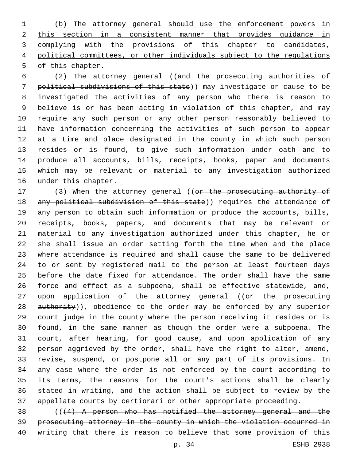(b) The attorney general should use the enforcement powers in this section in a consistent manner that provides guidance in complying with the provisions of this chapter to candidates, political committees, or other individuals subject to the regulations of this chapter.

 (2) The attorney general ((and the prosecuting authorities of political subdivisions of this state)) may investigate or cause to be investigated the activities of any person who there is reason to believe is or has been acting in violation of this chapter, and may require any such person or any other person reasonably believed to have information concerning the activities of such person to appear at a time and place designated in the county in which such person resides or is found, to give such information under oath and to produce all accounts, bills, receipts, books, paper and documents which may be relevant or material to any investigation authorized 16 under this chapter.

17 (3) When the attorney general ((or the prosecuting authority of 18 any political subdivision of this state)) requires the attendance of any person to obtain such information or produce the accounts, bills, receipts, books, papers, and documents that may be relevant or material to any investigation authorized under this chapter, he or she shall issue an order setting forth the time when and the place where attendance is required and shall cause the same to be delivered to or sent by registered mail to the person at least fourteen days before the date fixed for attendance. The order shall have the same force and effect as a subpoena, shall be effective statewide, and, 27 upon application of the attorney general ((or the prosecuting 28 authority)), obedience to the order may be enforced by any superior court judge in the county where the person receiving it resides or is found, in the same manner as though the order were a subpoena. The court, after hearing, for good cause, and upon application of any person aggrieved by the order, shall have the right to alter, amend, revise, suspend, or postpone all or any part of its provisions. In any case where the order is not enforced by the court according to its terms, the reasons for the court's actions shall be clearly stated in writing, and the action shall be subject to review by the appellate courts by certiorari or other appropriate proceeding.

 ( $(4)$  A person who has notified the attorney general and the prosecuting attorney in the county in which the violation occurred in writing that there is reason to believe that some provision of this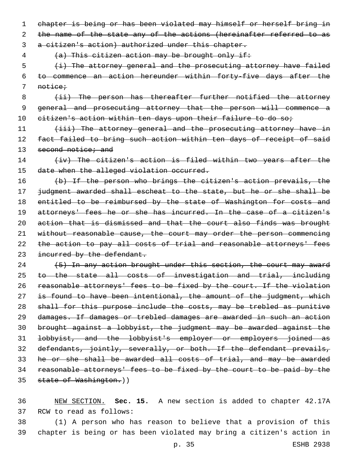1 chapter is being or has been violated may himself or herself bring in 2 the name of the state any of the actions (hereinafter referred to as

3 a citizen's action) authorized under this chapter.

4 (a) This citizen action may be brought only if:

5 (i) The attorney general and the prosecuting attorney have failed 6 to commence an action hereunder within forty-five days after the 7 notice;

8 (ii) The person has thereafter further notified the attorney 9 general and prosecuting attorney that the person will commence a 10 eitizen's action within ten days upon their failure to do so;

11 (iii) The attorney general and the prosecuting attorney have in 12 fact failed to bring such action within ten days of receipt of said 13 second notice; and

14 (iv) The citizen's action is filed within two years after the 15 date when the alleged violation occurred.

 (b) If the person who brings the citizen's action prevails, the judgment awarded shall escheat to the state, but he or she shall be 18 entitled to be reimbursed by the state of Washington for costs and attorneys' fees he or she has incurred. In the case of a citizen's action that is dismissed and that the court also finds was brought without reasonable cause, the court may order the person commencing 22 the action to pay all costs of trial and reasonable attorneys' fees 23 incurred by the defendant.

24 (5) In any action brought under this section, the court may award 25 to the state all costs of investigation and trial, including reasonable attorneys' fees to be fixed by the court. If the violation 27 is found to have been intentional, the amount of the judgment, which shall for this purpose include the costs, may be trebled as punitive damages. If damages or trebled damages are awarded in such an action brought against a lobbyist, the judgment may be awarded against the lobbyist, and the lobbyist's employer or employers joined as defendants, jointly, severally, or both. If the defendant prevails, he or she shall be awarded all costs of trial, and may be awarded reasonable attorneys' fees to be fixed by the court to be paid by the 35 state of Washington.))

36 NEW SECTION. **Sec. 15.** A new section is added to chapter 42.17A 37 RCW to read as follows:

38 (1) A person who has reason to believe that a provision of this 39 chapter is being or has been violated may bring a citizen's action in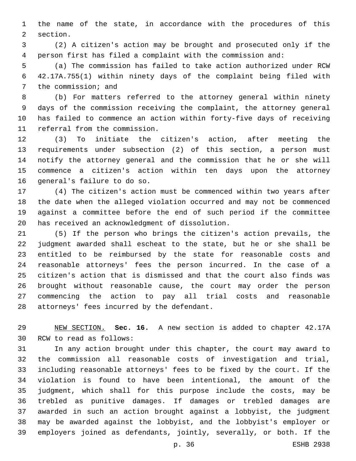the name of the state, in accordance with the procedures of this 2 section.

 (2) A citizen's action may be brought and prosecuted only if the person first has filed a complaint with the commission and:

 (a) The commission has failed to take action authorized under RCW 42.17A.755(1) within ninety days of the complaint being filed with 7 the commission; and

 (b) For matters referred to the attorney general within ninety days of the commission receiving the complaint, the attorney general has failed to commence an action within forty-five days of receiving 11 referral from the commission.

 (3) To initiate the citizen's action, after meeting the requirements under subsection (2) of this section, a person must notify the attorney general and the commission that he or she will commence a citizen's action within ten days upon the attorney 16 general's failure to do so.

 (4) The citizen's action must be commenced within two years after the date when the alleged violation occurred and may not be commenced against a committee before the end of such period if the committee 20 has received an acknowledgment of dissolution.

 (5) If the person who brings the citizen's action prevails, the judgment awarded shall escheat to the state, but he or she shall be entitled to be reimbursed by the state for reasonable costs and reasonable attorneys' fees the person incurred. In the case of a citizen's action that is dismissed and that the court also finds was brought without reasonable cause, the court may order the person commencing the action to pay all trial costs and reasonable 28 attorneys' fees incurred by the defendant.

 NEW SECTION. **Sec. 16.** A new section is added to chapter 42.17A 30 RCW to read as follows:

 In any action brought under this chapter, the court may award to the commission all reasonable costs of investigation and trial, including reasonable attorneys' fees to be fixed by the court. If the violation is found to have been intentional, the amount of the judgment, which shall for this purpose include the costs, may be trebled as punitive damages. If damages or trebled damages are awarded in such an action brought against a lobbyist, the judgment may be awarded against the lobbyist, and the lobbyist's employer or employers joined as defendants, jointly, severally, or both. If the